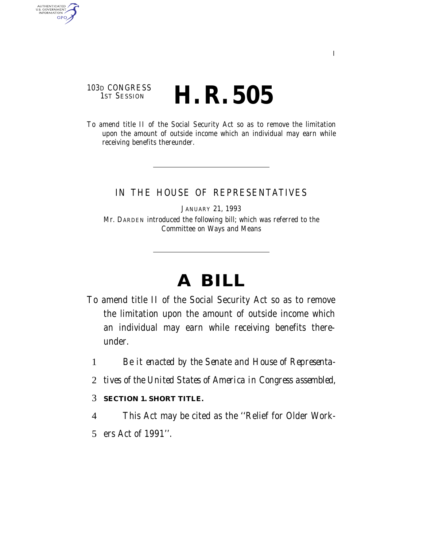## 103D CONGRESS<br>1st Session H. R. 505

AUTHENTICATED<br>U.S. GOVERNMENT<br>INFORMATION GPO

> To amend title II of the Social Security Act so as to remove the limitation upon the amount of outside income which an individual may earn while receiving benefits thereunder.

### IN THE HOUSE OF REPRESENTATIVES

JANUARY 21, 1993 Mr. DARDEN introduced the following bill; which was referred to the Committee on Ways and Means

# **A BILL**

- To amend title II of the Social Security Act so as to remove the limitation upon the amount of outside income which an individual may earn while receiving benefits thereunder.
	- 1 *Be it enacted by the Senate and House of Representa-*
	- 2 *tives of the United States of America in Congress assembled,*

#### 3 **SECTION 1. SHORT TITLE.**

- 4 This Act may be cited as the ''Relief for Older Work-
- 5 ers Act of 1991''.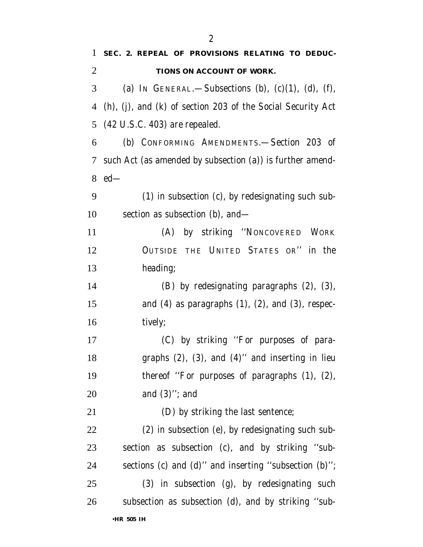| 1              | SEC. 2. REPEAL OF PROVISIONS RELATING TO DEDUC-             |
|----------------|-------------------------------------------------------------|
| $\overline{2}$ | TIONS ON ACCOUNT OF WORK.                                   |
| 3              | (a) IN GENERAL.—Subsections (b), $(c)(1)$ , $(d)$ , $(f)$ , |
| 4              | (h), (j), and (k) of section 203 of the Social Security Act |
| 5              | $(42 \text{ U.S.C. } 403)$ are repealed.                    |
| 6              | (b) CONFORMING AMENDMENTS.-Section 203 of                   |
| 7              | such Act (as amended by subsection (a)) is further amend-   |
| 8              | $ed$ —                                                      |
| 9              | (1) in subsection (c), by redesignating such sub-           |
| 10             | section as subsection (b), and—                             |
| 11             | (A) by striking "NONCOVERED WORK                            |
| 12             | OUTSIDE THE UNITED STATES OR" in the                        |
| 13             | heading;                                                    |
| 14             | (B) by redesignating paragraphs (2), (3),                   |
| 15             | and $(4)$ as paragraphs $(1)$ , $(2)$ , and $(3)$ , respec- |
| 16             | tively;                                                     |
| 17             | (C) by striking "For purposes of para-                      |
| 18             | graphs $(2)$ , $(3)$ , and $(4)$ " and inserting in lieu    |
| 19             | thereof "For purposes of paragraphs $(1)$ , $(2)$ ,         |
| 20             | and $(3)$ "; and                                            |
| 21             | (D) by striking the last sentence;                          |
| 22             | (2) in subsection (e), by redesignating such sub-           |
| 23             | section as subsection (c), and by striking "sub-            |
| 24             | sections (c) and (d)" and inserting "subsection (b)";       |
| 25             | (3) in subsection (g), by redesignating such                |
| 26             | subsection as subsection (d), and by striking "sub-         |
|                |                                                             |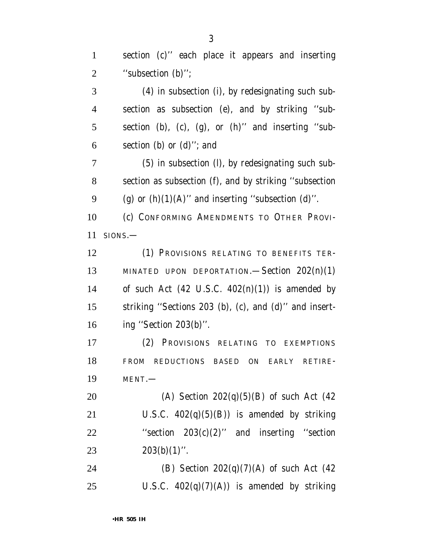section (c)'' each place it appears and inserting ''subsection (b)'';

 (4) in subsection (i), by redesignating such sub- section as subsection (e), and by striking ''sub- section (b), (c), (g), or (h)'' and inserting ''sub-section (b) or (d)''; and

 (5) in subsection (l), by redesignating such sub- section as subsection (f), and by striking ''subsection 9 (g) or  $(h)(1)(A)$ " and inserting "subsection  $(d)$ ".

 (c) CONFORMING AMENDMENTS TO OTHER PROVI-SIONS.—

 (1) PROVISIONS RELATING TO BENEFITS TER- MINATED UPON DEPORTATION.—Section 202(n)(1) 14 of such Act  $(42 \text{ U.S.C. } 402(n)(1))$  is amended by striking ''Sections 203 (b), (c), and (d)'' and insert-ing ''Section 203(b)''.

 (2) PROVISIONS RELATING TO EXEMPTIONS FROM REDUCTIONS BASED ON EARLY RETIRE-MENT.—

 (A) Section 202(q)(5)(B) of such Act (42 21 U.S.C.  $402(q)(5)(B)$  is amended by striking ''section 203(c)(2)'' and inserting ''section  $203(b)(1)$ ".

 (B) Section 202(q)(7)(A) of such Act (42 25 U.S.C.  $402(q)(7)(A)$  is amended by striking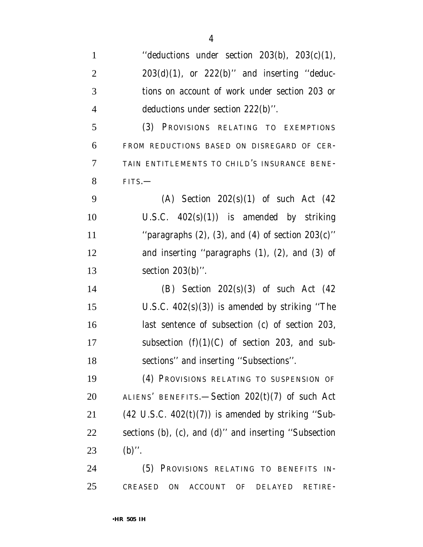| $\mathbf{1}$   | "deductions under section $203(b)$ , $203(c)(1)$ ,            |
|----------------|---------------------------------------------------------------|
| $\overline{c}$ | $203(d)(1)$ , or $222(b)$ " and inserting "deduc-             |
| 3              | tions on account of work under section 203 or                 |
| 4              | deductions under section $222(b)$ ".                          |
| 5              | (3) PROVISIONS RELATING TO EXEMPTIONS                         |
| 6              | FROM REDUCTIONS BASED ON DISREGARD OF CER-                    |
| 7              | TAIN ENTITLEMENTS TO CHILD'S INSURANCE BENE-                  |
| 8              | $FITS$ .                                                      |
| 9              | (A) Section $202(s)(1)$ of such Act $(42)$                    |
| 10             | U.S.C. $402(s)(1)$ is amended by striking                     |
| 11             | "paragraphs $(2)$ , $(3)$ , and $(4)$ of section $203(c)$ "   |
| 12             | and inserting "paragraphs $(1)$ , $(2)$ , and $(3)$ of        |
| 13             | section $203(b)$ ".                                           |
| 14             | (B) Section $202(s)(3)$ of such Act $(42)$                    |
| 15             | U.S.C. $402(s)(3)$ is amended by striking "The                |
| 16             | last sentence of subsection (c) of section 203,               |
| 17             | subsection $(f)(1)(C)$ of section 203, and sub-               |
| 18             | sections" and inserting "Subsections".                        |
| 19             | (4) PROVISIONS RELATING TO SUSPENSION OF                      |
| 20             | ALIENS' BENEFITS.—Section $202(t)(7)$ of such Act             |
| 21             | $(42 \text{ U.S.C. } 402(t)(7))$ is amended by striking "Sub- |
| 22             | sections (b), (c), and (d)" and inserting "Subsection         |
| 23             | $(b)$ ".                                                      |
| 24             | (5) PROVISIONS RELATING TO BENEFITS IN-                       |
| 25             | CREASED ON ACCOUNT OF DELAYED<br>RETIRE-                      |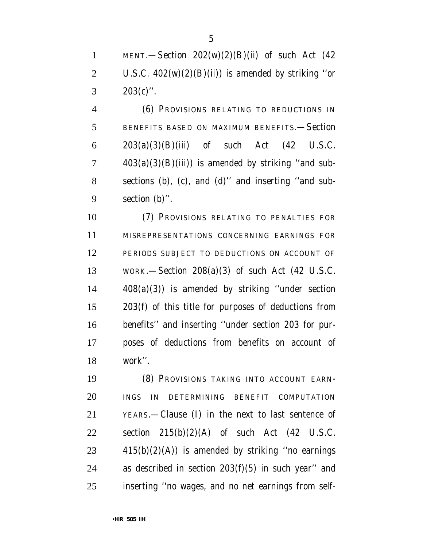1 MENT.—Section  $202(w)(2)(B)(ii)$  of such Act (42) 2 U.S.C.  $402(w)(2)(B(ii))$  is amended by striking "or 3  $203(c)$ ".

 (6) PROVISIONS RELATING TO REDUCTIONS IN BENEFITS BASED ON MAXIMUM BENEFITS.—Section 203(a)(3)(B)(iii) of such Act (42 U.S.C.  $7 \qquad \qquad 403(a)(3)(B)(iii)$  is amended by striking "and sub- sections (b), (c), and (d)'' and inserting ''and sub-section (b)''.

 (7) PROVISIONS RELATING TO PENALTIES FOR MISREPRESENTATIONS CONCERNING EARNINGS FOR PERIODS SUBJECT TO DEDUCTIONS ON ACCOUNT OF WORK.—Section 208(a)(3) of such Act (42 U.S.C. 408(a)(3)) is amended by striking ''under section 203(f) of this title for purposes of deductions from benefits'' and inserting ''under section 203 for pur- poses of deductions from benefits on account of work''.

 (8) PROVISIONS TAKING INTO ACCOUNT EARN- INGS IN DETERMINING BENEFIT COMPUTATION YEARS.—Clause (I) in the next to last sentence of 22 section  $215(b)(2)(A)$  of such Act (42 U.S.C. 415(b)(2)(A)) is amended by striking "no earnings as described in section 203(f)(5) in such year'' and inserting ''no wages, and no net earnings from self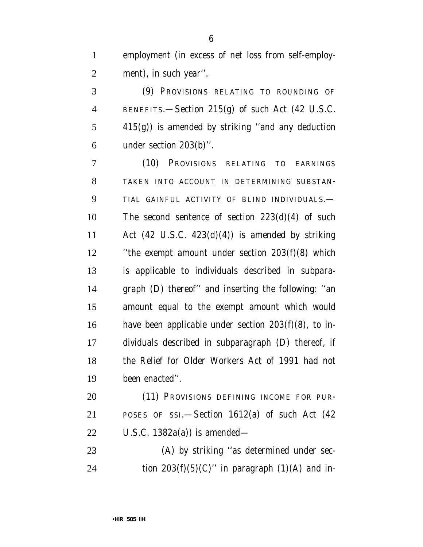employment (in excess of net loss from self-employ-ment), in such year''.

 (9) PROVISIONS RELATING TO ROUNDING OF BENEFITS.—Section 215(g) of such Act (42 U.S.C. 415(g)) is amended by striking ''and any deduction under section 203(b)''.

 (10) PROVISIONS RELATING TO EARNINGS TAKEN INTO ACCOUNT IN DETERMINING SUBSTAN- TIAL GAINFUL ACTIVITY OF BLIND INDIVIDUALS.— The second sentence of section 223(d)(4) of such 11 Act  $(42 \text{ U.S.C. } 423\text{ (d)}(4))$  is amended by striking ''the exempt amount under section 203(f)(8) which is applicable to individuals described in subpara- graph (D) thereof'' and inserting the following: ''an amount equal to the exempt amount which would have been applicable under section 203(f)(8), to in- dividuals described in subparagraph (D) thereof, if the Relief for Older Workers Act of 1991 had not been enacted''.

20 (11) PROVISIONS DEFINING INCOME FOR PUR- POSES OF SSI.—Section 1612(a) of such Act (42 U.S.C. 1382a(a)) is amended—

 (A) by striking ''as determined under sec-24 tion  $203(f)(5)(C)$ " in paragraph  $(1)(A)$  and in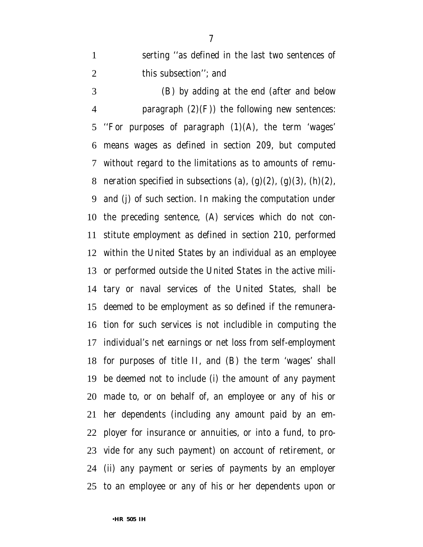serting ''as defined in the last two sentences of 2 this subsection''; and

 (B) by adding at the end (after and below **paragraph**  $(2)(F)$  the following new sentences: ''For purposes of paragraph (1)(A), the term 'wages' means wages as defined in section 209, but computed without regard to the limitations as to amounts of remu-8 neration specified in subsections (a),  $(g)(2)$ ,  $(g)(3)$ ,  $(h)(2)$ , and (j) of such section. In making the computation under the preceding sentence, (A) services which do not con- stitute employment as defined in section 210, performed within the United States by an individual as an employee or performed outside the United States in the active mili- tary or naval services of the United States, shall be deemed to be employment as so defined if the remunera- tion for such services is not includible in computing the individual's net earnings or net loss from self-employment for purposes of title II, and (B) the term 'wages' shall be deemed not to include (i) the amount of any payment made to, or on behalf of, an employee or any of his or her dependents (including any amount paid by an em- ployer for insurance or annuities, or into a fund, to pro- vide for any such payment) on account of retirement, or (ii) any payment or series of payments by an employer to an employee or any of his or her dependents upon or